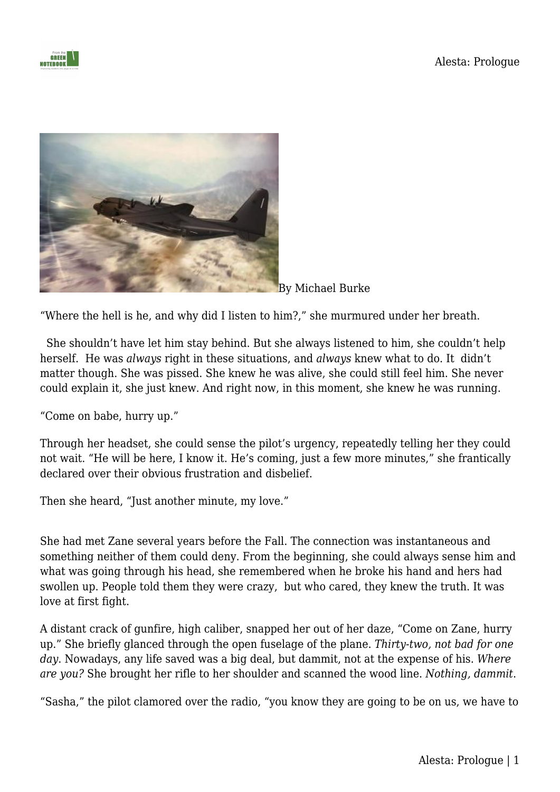



By Michael Burke

"Where the hell is he, and why did I listen to him?," she murmured under her breath.

She shouldn't have let him stay behind. But she always listened to him, she couldn't help herself. He was *always* right in these situations, and *always* knew what to do. It didn't matter though. She was pissed. She knew he was alive, she could still feel him. She never could explain it, she just knew. And right now, in this moment, she knew he was running.

"Come on babe, hurry up."

Through her headset, she could sense the pilot's urgency, repeatedly telling her they could not wait. "He will be here, I know it. He's coming, just a few more minutes," she frantically declared over their obvious frustration and disbelief.

Then she heard, "Just another minute, my love."

She had met Zane several years before the Fall. The connection was instantaneous and something neither of them could deny. From the beginning, she could always sense him and what was going through his head, she remembered when he broke his hand and hers had swollen up. People told them they were crazy, but who cared, they knew the truth. It was love at first fight.

A distant crack of gunfire, high caliber, snapped her out of her daze, "Come on Zane, hurry up." She briefly glanced through the open fuselage of the plane. *Thirty-two, not bad for one day*. Nowadays, any life saved was a big deal, but dammit, not at the expense of his. *Where are you?* She brought her rifle to her shoulder and scanned the wood line. *Nothing, dammit*.

"Sasha," the pilot clamored over the radio, "you know they are going to be on us, we have to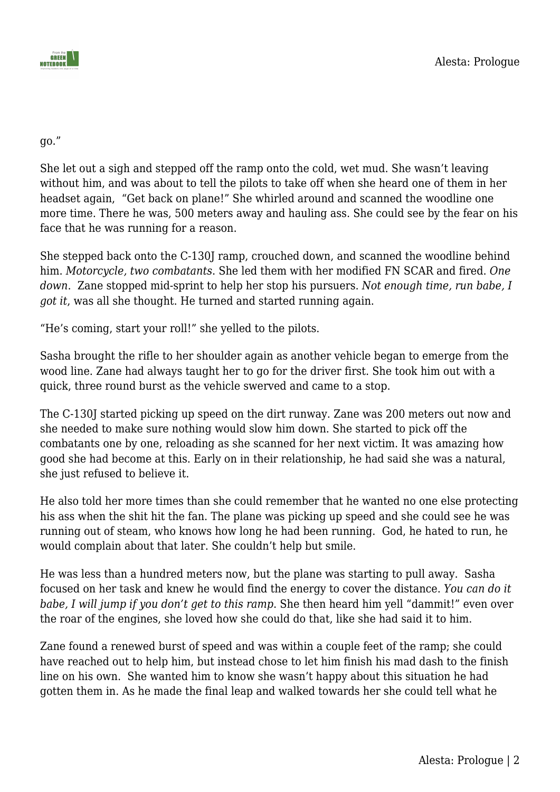go."

She let out a sigh and stepped off the ramp onto the cold, wet mud. She wasn't leaving without him, and was about to tell the pilots to take off when she heard one of them in her headset again, "Get back on plane!" She whirled around and scanned the woodline one more time. There he was, 500 meters away and hauling ass. She could see by the fear on his face that he was running for a reason.

She stepped back onto the C-130J ramp, crouched down, and scanned the woodline behind him. *Motorcycle, two combatants*. She led them with her modified FN SCAR and fired. *One down*. Zane stopped mid-sprint to help her stop his pursuers. *Not enough time, run babe, I got it*, was all she thought. He turned and started running again.

"He's coming, start your roll!" she yelled to the pilots.

Sasha brought the rifle to her shoulder again as another vehicle began to emerge from the wood line. Zane had always taught her to go for the driver first. She took him out with a quick, three round burst as the vehicle swerved and came to a stop.

The C-130J started picking up speed on the dirt runway. Zane was 200 meters out now and she needed to make sure nothing would slow him down. She started to pick off the combatants one by one, reloading as she scanned for her next victim. It was amazing how good she had become at this. Early on in their relationship, he had said she was a natural, she just refused to believe it.

He also told her more times than she could remember that he wanted no one else protecting his ass when the shit hit the fan. The plane was picking up speed and she could see he was running out of steam, who knows how long he had been running. God, he hated to run, he would complain about that later. She couldn't help but smile.

He was less than a hundred meters now, but the plane was starting to pull away. Sasha focused on her task and knew he would find the energy to cover the distance. *You can do it babe, I will jump if you don't get to this ramp*. She then heard him yell "dammit!" even over the roar of the engines, she loved how she could do that, like she had said it to him.

Zane found a renewed burst of speed and was within a couple feet of the ramp; she could have reached out to help him, but instead chose to let him finish his mad dash to the finish line on his own. She wanted him to know she wasn't happy about this situation he had gotten them in. As he made the final leap and walked towards her she could tell what he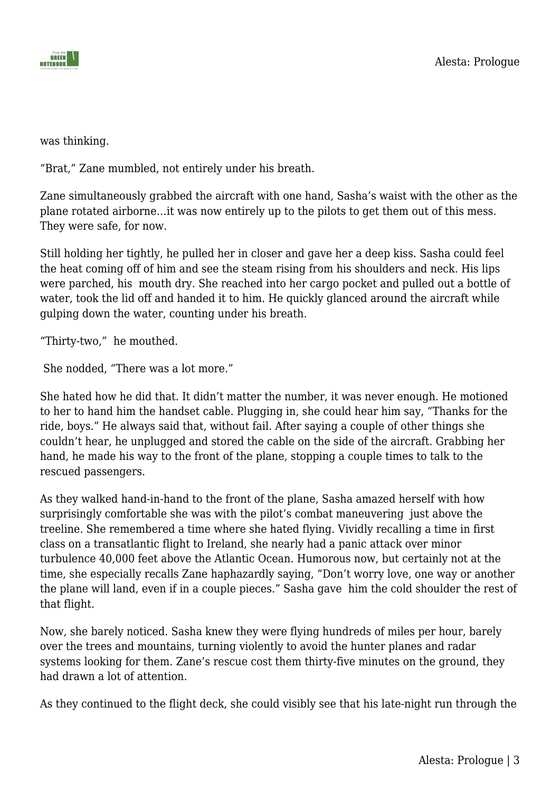

was thinking.

"Brat," Zane mumbled, not entirely under his breath.

Zane simultaneously grabbed the aircraft with one hand, Sasha's waist with the other as the plane rotated airborne…it was now entirely up to the pilots to get them out of this mess. They were safe, for now.

Still holding her tightly, he pulled her in closer and gave her a deep kiss. Sasha could feel the heat coming off of him and see the steam rising from his shoulders and neck. His lips were parched, his mouth dry. She reached into her cargo pocket and pulled out a bottle of water, took the lid off and handed it to him. He quickly glanced around the aircraft while gulping down the water, counting under his breath.

"Thirty-two," he mouthed.

She nodded, "There was a lot more."

She hated how he did that. It didn't matter the number, it was never enough. He motioned to her to hand him the handset cable. Plugging in, she could hear him say, "Thanks for the ride, boys." He always said that, without fail. After saying a couple of other things she couldn't hear, he unplugged and stored the cable on the side of the aircraft. Grabbing her hand, he made his way to the front of the plane, stopping a couple times to talk to the rescued passengers.

As they walked hand-in-hand to the front of the plane, Sasha amazed herself with how surprisingly comfortable she was with the pilot's combat maneuvering just above the treeline. She remembered a time where she hated flying. Vividly recalling a time in first class on a transatlantic flight to Ireland, she nearly had a panic attack over minor turbulence 40,000 feet above the Atlantic Ocean. Humorous now, but certainly not at the time, she especially recalls Zane haphazardly saying, "Don't worry love, one way or another the plane will land, even if in a couple pieces." Sasha gave him the cold shoulder the rest of that flight.

Now, she barely noticed. Sasha knew they were flying hundreds of miles per hour, barely over the trees and mountains, turning violently to avoid the hunter planes and radar systems looking for them. Zane's rescue cost them thirty-five minutes on the ground, they had drawn a lot of attention.

As they continued to the flight deck, she could visibly see that his late-night run through the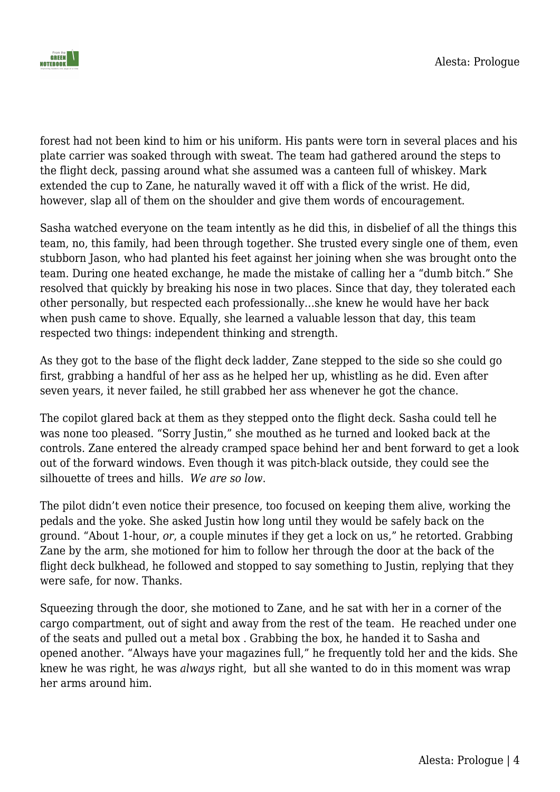

forest had not been kind to him or his uniform. His pants were torn in several places and his plate carrier was soaked through with sweat. The team had gathered around the steps to the flight deck, passing around what she assumed was a canteen full of whiskey. Mark extended the cup to Zane, he naturally waved it off with a flick of the wrist. He did, however, slap all of them on the shoulder and give them words of encouragement.

Sasha watched everyone on the team intently as he did this, in disbelief of all the things this team, no, this family, had been through together. She trusted every single one of them, even stubborn Jason, who had planted his feet against her joining when she was brought onto the team. During one heated exchange, he made the mistake of calling her a "dumb bitch." She resolved that quickly by breaking his nose in two places. Since that day, they tolerated each other personally, but respected each professionally…she knew he would have her back when push came to shove. Equally, she learned a valuable lesson that day, this team respected two things: independent thinking and strength.

As they got to the base of the flight deck ladder, Zane stepped to the side so she could go first, grabbing a handful of her ass as he helped her up, whistling as he did. Even after seven years, it never failed, he still grabbed her ass whenever he got the chance.

The copilot glared back at them as they stepped onto the flight deck. Sasha could tell he was none too pleased. "Sorry Justin," she mouthed as he turned and looked back at the controls. Zane entered the already cramped space behind her and bent forward to get a look out of the forward windows. Even though it was pitch-black outside, they could see the silhouette of trees and hills. *We are so low*.

The pilot didn't even notice their presence, too focused on keeping them alive, working the pedals and the yoke. She asked Justin how long until they would be safely back on the ground. "About 1-hour, *or*, a couple minutes if they get a lock on us," he retorted. Grabbing Zane by the arm, she motioned for him to follow her through the door at the back of the flight deck bulkhead, he followed and stopped to say something to Justin, replying that they were safe, for now. Thanks.

Squeezing through the door, she motioned to Zane, and he sat with her in a corner of the cargo compartment, out of sight and away from the rest of the team. He reached under one of the seats and pulled out a metal box . Grabbing the box, he handed it to Sasha and opened another. "Always have your magazines full," he frequently told her and the kids. She knew he was right, he was *always* right, but all she wanted to do in this moment was wrap her arms around him.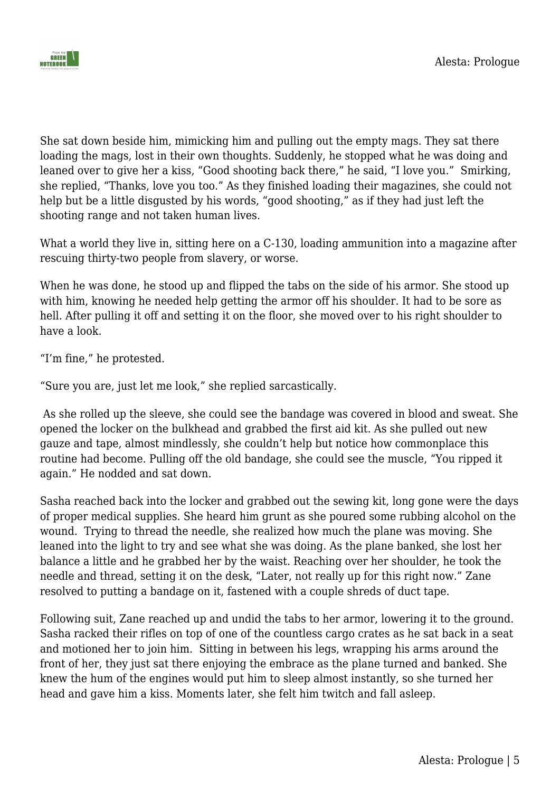

She sat down beside him, mimicking him and pulling out the empty mags. They sat there loading the mags, lost in their own thoughts. Suddenly, he stopped what he was doing and leaned over to give her a kiss, "Good shooting back there," he said, "I love you." Smirking, she replied, "Thanks, love you too." As they finished loading their magazines, she could not help but be a little disgusted by his words, "good shooting," as if they had just left the shooting range and not taken human lives.

What a world they live in, sitting here on a C-130, loading ammunition into a magazine after rescuing thirty-two people from slavery, or worse.

When he was done, he stood up and flipped the tabs on the side of his armor. She stood up with him, knowing he needed help getting the armor off his shoulder. It had to be sore as hell. After pulling it off and setting it on the floor, she moved over to his right shoulder to have a look.

"I'm fine," he protested.

"Sure you are, just let me look," she replied sarcastically.

 As she rolled up the sleeve, she could see the bandage was covered in blood and sweat. She opened the locker on the bulkhead and grabbed the first aid kit. As she pulled out new gauze and tape, almost mindlessly, she couldn't help but notice how commonplace this routine had become. Pulling off the old bandage, she could see the muscle, "You ripped it again." He nodded and sat down.

Sasha reached back into the locker and grabbed out the sewing kit, long gone were the days of proper medical supplies. She heard him grunt as she poured some rubbing alcohol on the wound. Trying to thread the needle, she realized how much the plane was moving. She leaned into the light to try and see what she was doing. As the plane banked, she lost her balance a little and he grabbed her by the waist. Reaching over her shoulder, he took the needle and thread, setting it on the desk, "Later, not really up for this right now." Zane resolved to putting a bandage on it, fastened with a couple shreds of duct tape.

Following suit, Zane reached up and undid the tabs to her armor, lowering it to the ground. Sasha racked their rifles on top of one of the countless cargo crates as he sat back in a seat and motioned her to join him. Sitting in between his legs, wrapping his arms around the front of her, they just sat there enjoying the embrace as the plane turned and banked. She knew the hum of the engines would put him to sleep almost instantly, so she turned her head and gave him a kiss. Moments later, she felt him twitch and fall asleep.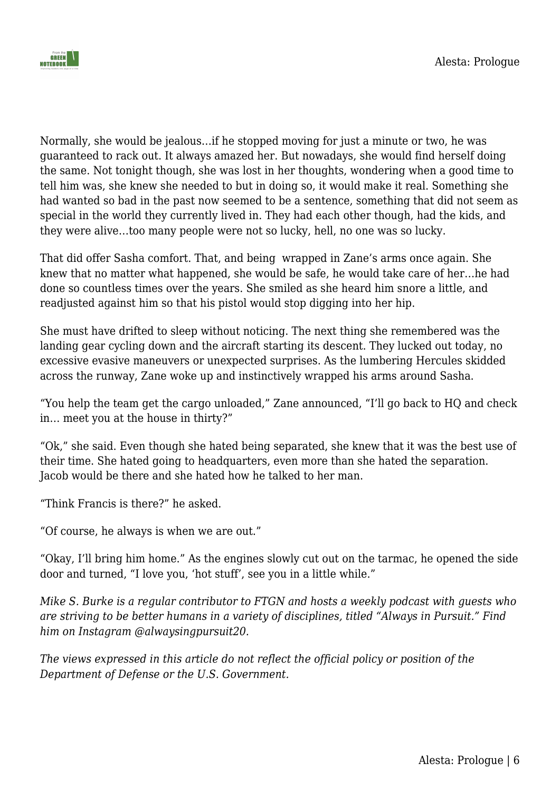

Normally, she would be jealous…if he stopped moving for just a minute or two, he was guaranteed to rack out. It always amazed her. But nowadays, she would find herself doing the same. Not tonight though, she was lost in her thoughts, wondering when a good time to tell him was, she knew she needed to but in doing so, it would make it real. Something she had wanted so bad in the past now seemed to be a sentence, something that did not seem as special in the world they currently lived in. They had each other though, had the kids, and they were alive…too many people were not so lucky, hell, no one was so lucky.

That did offer Sasha comfort. That, and being wrapped in Zane's arms once again. She knew that no matter what happened, she would be safe, he would take care of her…he had done so countless times over the years. She smiled as she heard him snore a little, and readjusted against him so that his pistol would stop digging into her hip.

She must have drifted to sleep without noticing. The next thing she remembered was the landing gear cycling down and the aircraft starting its descent. They lucked out today, no excessive evasive maneuvers or unexpected surprises. As the lumbering Hercules skidded across the runway, Zane woke up and instinctively wrapped his arms around Sasha.

"You help the team get the cargo unloaded," Zane announced, "I'll go back to HQ and check in… meet you at the house in thirty?"

"Ok," she said. Even though she hated being separated, she knew that it was the best use of their time. She hated going to headquarters, even more than she hated the separation. Jacob would be there and she hated how he talked to her man.

"Think Francis is there?" he asked.

"Of course, he always is when we are out."

"Okay, I'll bring him home." As the engines slowly cut out on the tarmac, he opened the side door and turned, "I love you, 'hot stuff', see you in a little while."

*Mike S. Burke is a regular contributor to FTGN and hosts a weekly podcast with guests who are striving to be better humans in a variety of disciplines, titled "Always in Pursuit." Find him on Instagram @alwaysingpursuit20.* 

*The views expressed in this article do not reflect the official policy or position of the Department of Defense or the U.S. Government.*